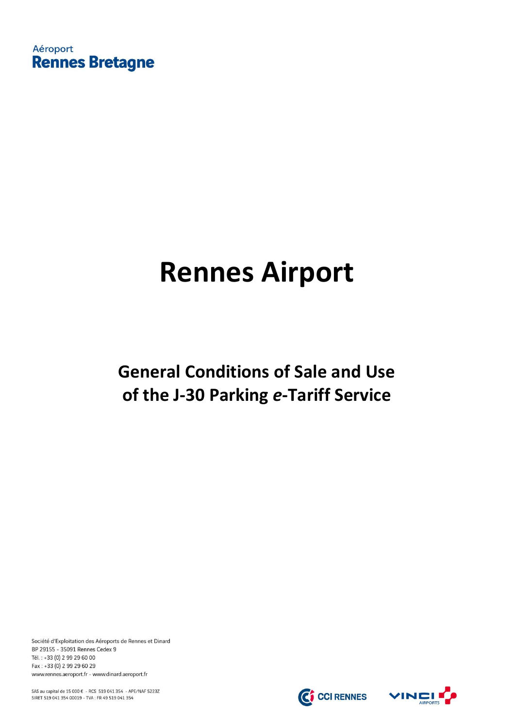Aéroport **Rennes Bretagne** 

# **Rennes Airport**

## **General Conditions of Sale and Use of the J-30 Parking** *e***-Tariff Service**

Société d'Exploitation des Aéroports de Rennes et Dinard BP 29155 - 35091 Rennes Cedex 9 Tél.: +33 (0) 2 99 29 60 00 Fax: +33 (0) 2 99 29 60 29 www.rennes.aeroport.fr - www.dinard.aeroport.fr

SAS au capital de 15 000 € - RCS 519 041 354 - APE/NAF 5223Z SIRET 519 041 354 00019 - TVA : FR 49 519 041 354

C CCI RENNES

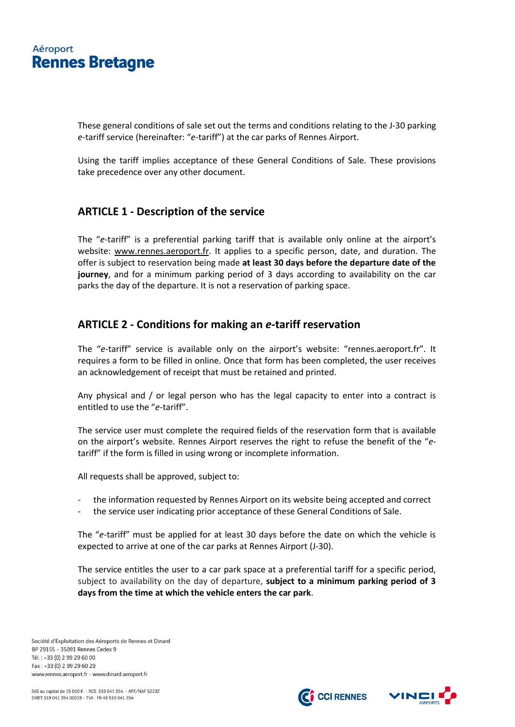### Aéroport **Rennes Bretagne**

These general conditions of sale set out the terms and conditions relating to the J-30 parking *e*-tariff service (hereinafter: "*e*-tariff") at the car parks of Rennes Airport.

Using the tariff implies acceptance of these General Conditions of Sale. These provisions take precedence over any other document.

#### **ARTICLE 1 - Description of the service**

The "*e*-tariff" is a preferential parking tariff that is available only online at the airport's website: [www.rennes.aeroport.fr.](http://www.rennes.aeroport.fr/) It applies to a specific person, date, and duration. The offer is subject to reservation being made **at least 30 days before the departure date of the journey**, and for a minimum parking period of 3 days according to availability on the car parks the day of the departure. It is not a reservation of parking space.

#### **ARTICLE 2 - Conditions for making an** *e***-tariff reservation**

The "*e*-tariff" service is available only on the airport's website: "rennes.aeroport.fr". It requires a form to be filled in online. Once that form has been completed, the user receives an acknowledgement of receipt that must be retained and printed.

Any physical and / or legal person who has the legal capacity to enter into a contract is entitled to use the "*e*-tariff".

The service user must complete the required fields of the reservation form that is available on the airport's website. Rennes Airport reserves the right to refuse the benefit of the "*e*tariff" if the form is filled in using wrong or incomplete information.

All requests shall be approved, subject to:

- the information requested by Rennes Airport on its website being accepted and correct
- the service user indicating prior acceptance of these General Conditions of Sale.

The "*e*-tariff" must be applied for at least 30 days before the date on which the vehicle is expected to arrive at one of the car parks at Rennes Airport (J-30).

The service entitles the user to a car park space at a preferential tariff for a specific period, subject to availability on the day of departure, **subject to a minimum parking period of 3 days from the time at which the vehicle enters the car park**.

Société d'Exploitation des Aéroports de Rennes et Dinard BP 29155 - 35091 Rennes Cedex 9 Tél.: +33 (0) 2 99 29 60 00 Fax: +33 (0) 2 99 29 60 29 www.rennes.aeroport.fr - www.dinard.aeroport.fr



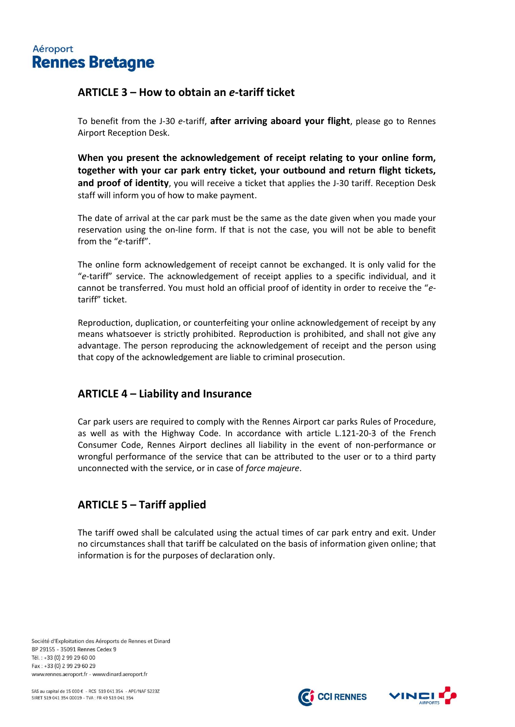

#### **ARTICLE 3 – How to obtain an** *e***-tariff ticket**

To benefit from the J-30 *e*-tariff, **after arriving aboard your flight**, please go to Rennes Airport Reception Desk.

**When you present the acknowledgement of receipt relating to your online form, together with your car park entry ticket, your outbound and return flight tickets, and proof of identity**, you will receive a ticket that applies the J-30 tariff. Reception Desk staff will inform you of how to make payment.

The date of arrival at the car park must be the same as the date given when you made your reservation using the on-line form. If that is not the case, you will not be able to benefit from the "*e*-tariff".

The online form acknowledgement of receipt cannot be exchanged. It is only valid for the "*e*-tariff" service. The acknowledgement of receipt applies to a specific individual, and it cannot be transferred. You must hold an official proof of identity in order to receive the "*e*tariff" ticket.

Reproduction, duplication, or counterfeiting your online acknowledgement of receipt by any means whatsoever is strictly prohibited. Reproduction is prohibited, and shall not give any advantage. The person reproducing the acknowledgement of receipt and the person using that copy of the acknowledgement are liable to criminal prosecution.

#### **ARTICLE 4 – Liability and Insurance**

Car park users are required to comply with the Rennes Airport car parks Rules of Procedure, as well as with the Highway Code. In accordance with article L.121-20-3 of the French Consumer Code, Rennes Airport declines all liability in the event of non-performance or wrongful performance of the service that can be attributed to the user or to a third party unconnected with the service, or in case of *force majeure*.

#### **ARTICLE 5 – Tariff applied**

The tariff owed shall be calculated using the actual times of car park entry and exit. Under no circumstances shall that tariff be calculated on the basis of information given online; that information is for the purposes of declaration only.

Société d'Exploitation des Aéroports de Rennes et Dinard BP 29155 - 35091 Rennes Cedex 9 Tél.: +33 (0) 2 99 29 60 00 Fax: +33 (0) 2 99 29 60 29 www.rennes.aeroport.fr - www.dinard.aeroport.fr

SAS au capital de 15 000 € - RCS 519 041 354 - APE/NAF 5223Z SIRET 519 041 354 00019 - TVA: FR 49 519 041 354